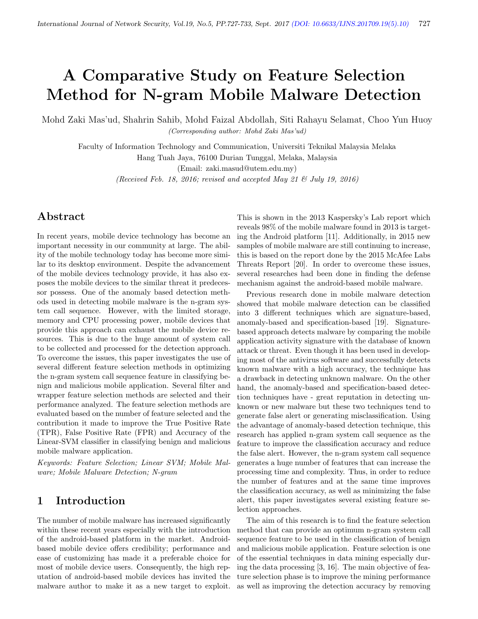# A Comparative Study on Feature Selection Method for N-gram Mobile Malware Detection

Mohd Zaki Mas'ud, Shahrin Sahib, Mohd Faizal Abdollah, Siti Rahayu Selamat, Choo Yun Huoy (Corresponding author: Mohd Zaki Mas'ud)

Faculty of Information Technology and Communication, Universiti Teknikal Malaysia Melaka Hang Tuah Jaya, 76100 Durian Tunggal, Melaka, Malaysia

(Email: zaki.masud@utem.edu.my)

(Received Feb. 18, 2016; revised and accepted May 21  $\mathcal{B}$  July 19, 2016)

# Abstract

In recent years, mobile device technology has become an important necessity in our community at large. The ability of the mobile technology today has become more similar to its desktop environment. Despite the advancement of the mobile devices technology provide, it has also exposes the mobile devices to the similar threat it predecessor possess. One of the anomaly based detection methods used in detecting mobile malware is the n-gram system call sequence. However, with the limited storage, memory and CPU processing power, mobile devices that provide this approach can exhaust the mobile device resources. This is due to the huge amount of system call to be collected and processed for the detection approach. To overcome the issues, this paper investigates the use of several different feature selection methods in optimizing the n-gram system call sequence feature in classifying benign and malicious mobile application. Several filter and wrapper feature selection methods are selected and their performance analyzed. The feature selection methods are evaluated based on the number of feature selected and the contribution it made to improve the True Positive Rate (TPR), False Positive Rate (FPR) and Accuracy of the Linear-SVM classifier in classifying benign and malicious mobile malware application.

Keywords: Feature Selection; Linear SVM; Mobile Malware; Mobile Malware Detection; N-gram

## 1 Introduction

The number of mobile malware has increased significantly within these recent years especially with the introduction of the android-based platform in the market. Androidbased mobile device offers credibility; performance and ease of customizing has made it a preferable choice for most of mobile device users. Consequently, the high reputation of android-based mobile devices has invited the malware author to make it as a new target to exploit.

This is shown in the 2013 Kaspersky's Lab report which reveals 98% of the mobile malware found in 2013 is targeting the Android platform [11]. Additionally, in 2015 new samples of mobile malware are still continuing to increase, this is based on the report done by the 2015 McAfee Labs Threats Report [20]. In order to overcome these issues, several researches had been done in finding the defense mechanism against the android-based mobile malware.

Previous research done in mobile malware detection showed that mobile malware detection can be classified into 3 different techniques which are signature-based, anomaly-based and specification-based [19]. Signaturebased approach detects malware by comparing the mobile application activity signature with the database of known attack or threat. Even though it has been used in developing most of the antivirus software and successfully detects known malware with a high accuracy, the technique has a drawback in detecting unknown malware. On the other hand, the anomaly-based and specification-based detection techniques have - great reputation in detecting unknown or new malware but these two techniques tend to generate false alert or generating misclassification. Using the advantage of anomaly-based detection technique, this research has applied n-gram system call sequence as the feature to improve the classification accuracy and reduce the false alert. However, the n-gram system call sequence generates a huge number of features that can increase the processing time and complexity. Thus, in order to reduce the number of features and at the same time improves the classification accuracy, as well as minimizing the false alert, this paper investigates several existing feature selection approaches.

The aim of this research is to find the feature selection method that can provide an optimum n-gram system call sequence feature to be used in the classification of benign and malicious mobile application. Feature selection is one of the essential techniques in data mining especially during the data processing [3, 16]. The main objective of feature selection phase is to improve the mining performance as well as improving the detection accuracy by removing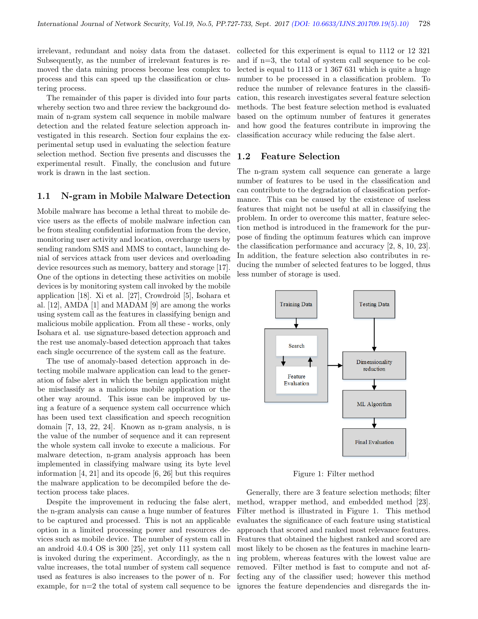irrelevant, redundant and noisy data from the dataset. Subsequently, as the number of irrelevant features is removed the data mining process become less complex to process and this can speed up the classification or clustering process.

The remainder of this paper is divided into four parts whereby section two and three review the background domain of n-gram system call sequence in mobile malware detection and the related feature selection approach investigated in this research. Section four explains the experimental setup used in evaluating the selection feature selection method. Section five presents and discusses the experimental result. Finally, the conclusion and future work is drawn in the last section.

#### 1.1 N-gram in Mobile Malware Detection

Mobile malware has become a lethal threat to mobile device users as the effects of mobile malware infection can be from stealing confidential information from the device, monitoring user activity and location, overcharge users by sending random SMS and MMS to contact, launching denial of services attack from user devices and overloading device resources such as memory, battery and storage [17]. One of the options in detecting these activities on mobile devices is by monitoring system call invoked by the mobile application [18]. Xi et al. [27], Crowdroid [5], Isohara et al. [12], AMDA [1] and MADAM [9] are among the works using system call as the features in classifying benign and malicious mobile application. From all these - works, only Isohara et al. use signature-based detection approach and the rest use anomaly-based detection approach that takes each single occurrence of the system call as the feature.

The use of anomaly-based detection approach in detecting mobile malware application can lead to the generation of false alert in which the benign application might be misclassify as a malicious mobile application or the other way around. This issue can be improved by using a feature of a sequence system call occurrence which has been used text classification and speech recognition domain [7, 13, 22, 24]. Known as n-gram analysis, n is the value of the number of sequence and it can represent the whole system call invoke to execute a malicious. For malware detection, n-gram analysis approach has been implemented in classifying malware using its byte level information [4, 21] and its opcode [6, 26] but this requires the malware application to be decompiled before the detection process take places.

Despite the improvement in reducing the false alert, the n-gram analysis can cause a huge number of features to be captured and processed. This is not an applicable option in a limited processing power and resources devices such as mobile device. The number of system call in an android 4.0.4 OS is 300 [25], yet only 111 system call is invoked during the experiment. Accordingly, as the n value increases, the total number of system call sequence used as features is also increases to the power of n. For example, for  $n=2$  the total of system call sequence to be

collected for this experiment is equal to 1112 or 12 321 and if n=3, the total of system call sequence to be collected is equal to 1113 or 1 367 631 which is quite a huge number to be processed in a classification problem. To reduce the number of relevance features in the classification, this research investigates several feature selection methods. The best feature selection method is evaluated based on the optimum number of features it generates and how good the features contribute in improving the classification accuracy while reducing the false alert.

#### 1.2 Feature Selection

The n-gram system call sequence can generate a large number of features to be used in the classification and can contribute to the degradation of classification performance. This can be caused by the existence of useless features that might not be useful at all in classifying the problem. In order to overcome this matter, feature selection method is introduced in the framework for the purpose of finding the optimum features which can improve the classification performance and accuracy [2, 8, 10, 23]. In addition, the feature selection also contributes in reducing the number of selected features to be logged, thus less number of storage is used.



Figure 1: Filter method

Generally, there are 3 feature selection methods; filter method, wrapper method, and embedded method [23]. Filter method is illustrated in Figure 1. This method evaluates the significance of each feature using statistical approach that scored and ranked most relevance features. Features that obtained the highest ranked and scored are most likely to be chosen as the features in machine learning problem, whereas features with the lowest value are removed. Filter method is fast to compute and not affecting any of the classifier used; however this method ignores the feature dependencies and disregards the in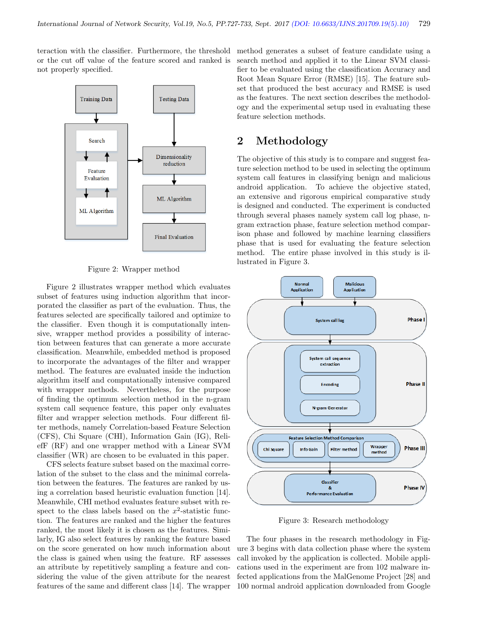teraction with the classifier. Furthermore, the threshold or the cut off value of the feature scored and ranked is not properly specified.



Figure 2: Wrapper method

Figure 2 illustrates wrapper method which evaluates subset of features using induction algorithm that incorporated the classifier as part of the evaluation. Thus, the features selected are specifically tailored and optimize to the classifier. Even though it is computationally intensive, wrapper method provides a possibility of interaction between features that can generate a more accurate classification. Meanwhile, embedded method is proposed to incorporate the advantages of the filter and wrapper method. The features are evaluated inside the induction algorithm itself and computationally intensive compared with wrapper methods. Nevertheless, for the purpose of finding the optimum selection method in the n-gram system call sequence feature, this paper only evaluates filter and wrapper selection methods. Four different filter methods, namely Correlation-based Feature Selection (CFS), Chi Square (CHI), Information Gain (IG), ReliefF (RF) and one wrapper method with a Linear SVM classifier (WR) are chosen to be evaluated in this paper.

CFS selects feature subset based on the maximal correlation of the subset to the class and the minimal correlation between the features. The features are ranked by using a correlation based heuristic evaluation function [14]. Meanwhile, CHI method evaluates feature subset with respect to the class labels based on the  $x^2$ -statistic function. The features are ranked and the higher the features ranked, the most likely it is chosen as the features. Similarly, IG also select features by ranking the feature based on the score generated on how much information about the class is gained when using the feature. RF assesses an attribute by repetitively sampling a feature and considering the value of the given attribute for the nearest features of the same and different class [14]. The wrapper

method generates a subset of feature candidate using a search method and applied it to the Linear SVM classifier to be evaluated using the classification Accuracy and Root Mean Square Error (RMSE) [15]. The feature subset that produced the best accuracy and RMSE is used as the features. The next section describes the methodology and the experimental setup used in evaluating these feature selection methods.

# 2 Methodology

The objective of this study is to compare and suggest feature selection method to be used in selecting the optimum system call features in classifying benign and malicious android application. To achieve the objective stated, an extensive and rigorous empirical comparative study is designed and conducted. The experiment is conducted through several phases namely system call log phase, ngram extraction phase, feature selection method comparison phase and followed by machine learning classifiers phase that is used for evaluating the feature selection method. The entire phase involved in this study is illustrated in Figure 3.



Figure 3: Research methodology

The four phases in the research methodology in Figure 3 begins with data collection phase where the system call invoked by the application is collected. Mobile applications used in the experiment are from 102 malware infected applications from the MalGenome Project [28] and 100 normal android application downloaded from Google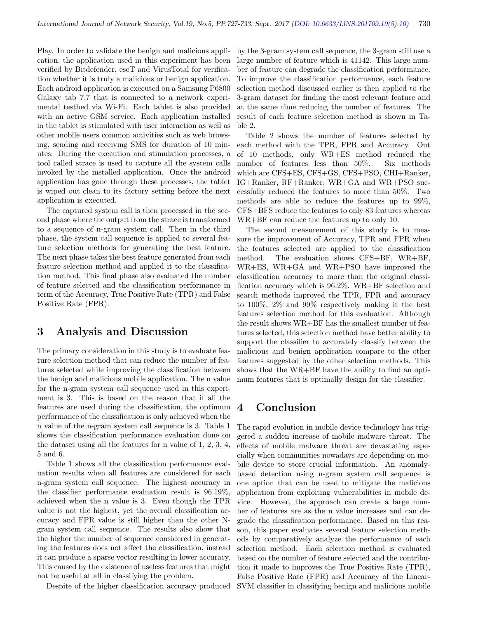Play. In order to validate the benign and malicious application, the application used in this experiment has been verified by Bitdefender, eseT and VirusTotal for verification whether it is truly a malicious or benign application. Each android application is executed on a Samsung P6800 Galaxy tab 7.7 that is connected to a network experimental testbed via Wi-Fi. Each tablet is also provided with an active GSM service. Each application installed in the tablet is stimulated with user interaction as well as other mobile users common activities such as web browsing, sending and receiving SMS for duration of 10 minutes. During the execution and stimulation processes, a tool called strace is used to capture all the system calls invoked by the installed application. Once the android application has gone through these processes, the tablet is wiped out clean to its factory setting before the next application is executed.

The captured system call is then processed in the second phase where the output from the strace is transformed to a sequence of n-gram system call. Then in the third phase, the system call sequence is applied to several feature selection methods for generating the best feature. The next phase takes the best feature generated from each feature selection method and applied it to the classification method. This final phase also evaluated the number of feature selected and the classification performance in term of the Accuracy, True Positive Rate (TPR) and False Positive Rate (FPR).

### 3 Analysis and Discussion

The primary consideration in this study is to evaluate feature selection method that can reduce the number of features selected while improving the classification between the benign and malicious mobile application. The n value for the n-gram system call sequence used in this experiment is 3. This is based on the reason that if all the features are used during the classification, the optimum performance of the classification is only achieved when the n value of the n-gram system call sequence is 3. Table 1 shows the classification performance evaluation done on the dataset using all the features for n value of 1, 2, 3, 4, 5 and 6.

Table 1 shows all the classification performance evaluation results when all features are considered for each n-gram system call sequence. The highest accuracy in the classifier performance evaluation result is 96.19%, achieved when the n value is 3. Even though the TPR value is not the highest, yet the overall classification accuracy and FPR value is still higher than the other Ngram system call sequence. The results also show that the higher the number of sequence considered in generating the features does not affect the classification, instead it can produce a sparse vector resulting in lower accuracy. This caused by the existence of useless features that might not be useful at all in classifying the problem.

Despite of the higher classification accuracy produced

by the 3-gram system call sequence, the 3-gram still use a large number of feature which is 41142. This large number of feature can degrade the classification performance. To improve the classification performance, each feature selection method discussed earlier is then applied to the 3-gram dataset for finding the most relevant feature and at the same time reducing the number of features. The result of each feature selection method is shown in Table 2.

Table 2 shows the number of features selected by each method with the TPR, FPR and Accuracy. Out of 10 methods, only WR+ES method reduced the number of features less than 50%. Six methods which are CFS+ES, CFS+GS, CFS+PSO, CHI+Ranker, IG+Ranker, RF+Ranker, WR+GA and WR+PSO successfully reduced the features to more than 50%. Two methods are able to reduce the features up to 99%, CFS+BFS reduce the features to only 83 features whereas WR+BF can reduce the features up to only 10.

The second measurement of this study is to measure the improvement of Accuracy, TPR and FPR when the features selected are applied to the classification method. The evaluation shows CFS+BF, WR+BF, WR+ES, WR+GA and WR+PSO have improved the classification accuracy to more than the original classification accuracy which is 96.2%. WR+BF selection and search methods improved the TPR, FPR and accuracy to 100%, 2% and 99% respectively making it the best features selection method for this evaluation. Although the result shows WR+BF has the smallest number of features selected, this selection method have better ability to support the classifier to accurately classify between the malicious and benign application compare to the other features suggested by the other selection methods. This shows that the WR+BF have the ability to find an optimum features that is optimally design for the classifier.

### 4 Conclusion

The rapid evolution in mobile device technology has triggered a sudden increase of mobile malware threat. The effects of mobile malware threat are devastating especially when communities nowadays are depending on mobile device to store crucial information. An anomalybased detection using n-gram system call sequence is one option that can be used to mitigate the malicious application from exploiting vulnerabilities in mobile device. However, the approach can create a large number of features are as the n value increases and can degrade the classification performance. Based on this reason, this paper evaluates several feature selection methods by comparatively analyze the performance of each selection method. Each selection method is evaluated based on the number of feature selected and the contribution it made to improves the True Positive Rate (TPR), False Positive Rate (FPR) and Accuracy of the Linear-SVM classifier in classifying benign and malicious mobile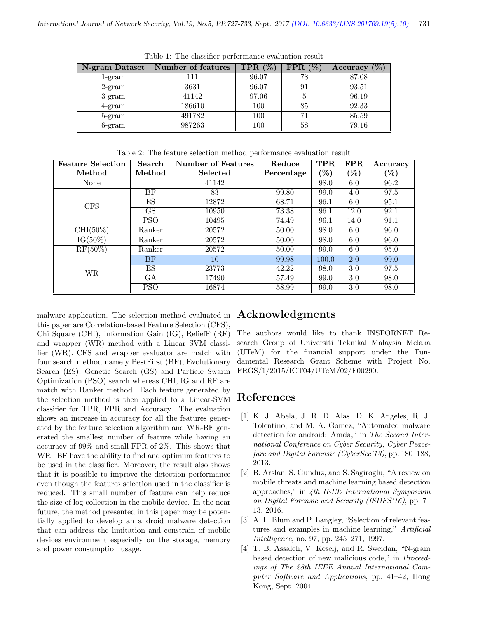| N-gram Dataset           | Number of features | TPR $(\%)$ | $FPR(\%)$ | Accuracy $(\%)$ |
|--------------------------|--------------------|------------|-----------|-----------------|
| 1-gram                   | l 11               | 96.07      | 78        | 87.08           |
| $2$ -gram                | 3631               | 96.07      | 91        | 93.51           |
| $3\text{-gram}$          | 41142              | 97.06      | 5         | 96.19           |
| $4\text{-}\mathrm{gram}$ | 186610             | 100        | 85        | 92.33           |
| 5-gram                   | 491782             | 100        | 71        | 85.59           |
| $6\text{-}gram$          | 987263             | 100        | 58        | 79.16           |

Table 1: The classifier performance evaluation result

| <b>Feature Selection</b> | Search | Number of Features | Reduce     | TPR  | $\mid$ FPR       | Accuracy        |  |  |  |  |
|--------------------------|--------|--------------------|------------|------|------------------|-----------------|--|--|--|--|
| Method                   | Method | Selected           | Percentage | (96) | $\mathcal{C}(8)$ | $\mathscr{C}_0$ |  |  |  |  |
| None                     |        | 41142              |            | 98.0 | 6.0              | 96.2            |  |  |  |  |
|                          | ВF     | 83                 | 99.80      | 99.0 | 4.0              | 97.5            |  |  |  |  |
| CFS                      | ES     | 12872              | 68.71      | 96.1 | 6.0              | 95.1            |  |  |  |  |
|                          | GS     | 10950              | 73.38      | 96.1 | 12.0             | 92.1            |  |  |  |  |

 $CHI(50\%)$  Ranker 20572 50.00 98.0 6.0 96.0  $\mathrm{IG}(50\%)$  Ranker 20572 50.00 98.0 6.0 96.0  $\mathrm{RF}(50\%)$  Ranker 20572 60.00 99.0 6.0 95.0

WR GA 17490 57.49 99.0 3.0 98.0

Table 2: The feature selection method performance evaluation result

malware application. The selection method evaluated in this paper are Correlation-based Feature Selection (CFS), Chi Square (CHI), Information Gain (IG), ReliefF (RF) and wrapper (WR) method with a Linear SVM classifier (WR). CFS and wrapper evaluator are match with four search method namely BestFirst (BF), Evolutionary Search (ES), Genetic Search (GS) and Particle Swarm Optimization (PSO) search whereas CHI, IG and RF are match with Ranker method. Each feature generated by the selection method is then applied to a Linear-SVM classifier for TPR, FPR and Accuracy. The evaluation shows an increase in accuracy for all the features generated by the feature selection algorithm and WR-BF generated the smallest number of feature while having an accuracy of 99% and small FPR of 2%. This shows that WR+BF have the ability to find and optimum features to be used in the classifier. Moreover, the result also shows that it is possible to improve the detection performance even though the features selection used in the classifier is reduced. This small number of feature can help reduce the size of log collection in the mobile device. In the near future, the method presented in this paper may be potentially applied to develop an android malware detection that can address the limitation and constrain of mobile devices environment especially on the storage, memory and power consumption usage.

#### Acknowledgments

PSO | 10495 | 74.49 | 96.1 | 14.0 | 91.1

BF 10 99.98 100.0 2.0 99.0 ES 23773 42.22 98.0 3.0 97.5

PSO 16874 58.99 99.0 3.0 98.0

The authors would like to thank INSFORNET Research Group of Universiti Teknikal Malaysia Melaka (UTeM) for the financial support under the Fundamental Research Grant Scheme with Project No. FRGS/1/2015/ICT04/UTeM/02/F00290.

#### References

- [1] K. J. Abela, J. R. D. Alas, D. K. Angeles, R. J. Tolentino, and M. A. Gomez, "Automated malware detection for android: Amda," in The Second International Conference on Cyber Security, Cyber Peacefare and Digital Forensic (CyberSec'13), pp. 180–188, 2013.
- [2] B. Arslan, S. Gunduz, and S. Sagiroglu, "A review on mobile threats and machine learning based detection approaches," in 4th IEEE International Symposium on Digital Forensic and Security (ISDFS'16), pp. 7– 13, 2016.
- [3] A. L. Blum and P. Langley, "Selection of relevant features and examples in machine learning," Artificial Intelligence, no. 97, pp. 245–271, 1997.
- [4] T. B. Assaleh, V. Keselj, and R. Sweidan, "N-gram based detection of new malicious code," in Proceedings of The 28th IEEE Annual International Computer Software and Applications, pp. 41–42, Hong Kong, Sept. 2004.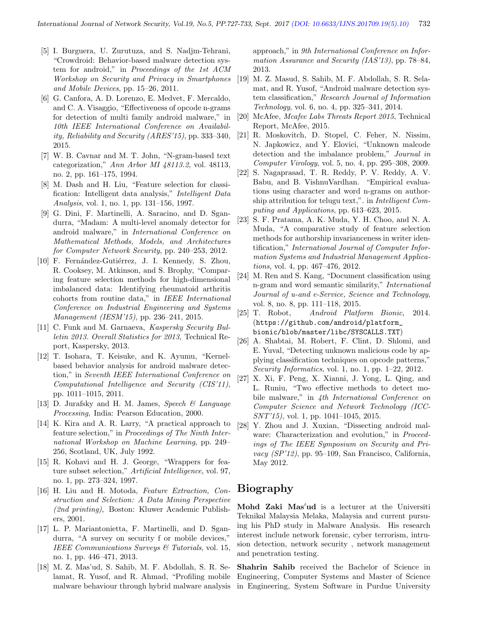- [5] I. Burguera, U. Zurutuza, and S. Nadjm-Tehrani, "Crowdroid: Behavior-based malware detection system for android," in Proceedings of the 1st ACM Workshop on Security and Privacy in Smartphones and Mobile Devices, pp. 15–26, 2011.
- [6] G. Canfora, A. D. Lorenzo, E. Medvet, F. Mercaldo, and C. A. Visaggio, "Effectiveness of opcode n-grams for detection of multi family android malware," in 10th IEEE International Conference on Availability, Reliability and Security (ARES'15), pp. 333–340, 2015.
- [7] W. B. Cavnar and M. T. John, "N-gram-based text categorization," Ann Arbor MI 48113.2, vol. 48113, no. 2, pp. 161–175, 1994.
- [8] M. Dash and H. Liu, "Feature selection for classification: Intelligent data analysis," Intelligent Data Analysis, vol. 1, no. 1, pp. 131–156, 1997.
- [9] G. Dini, F. Martinelli, A. Saracino, and D. Sgandurra, "Madam: A multi-level anomaly detector for android malware," in International Conference on Mathematical Methods, Models, and Architectures for Computer Network Security, pp. 240–253, 2012.
- [10] F. Fernández-Gutiérrez, J. I. Kennedy, S. Zhou, R. Cooksey, M. Atkinson, and S. Brophy, "Comparing feature selection methods for high-dimensional imbalanced data: Identifying rheumatoid arthritis cohorts from routine data," in IEEE International Conference on Industrial Engineering and Systems Management (IESM'15), pp. 236–241, 2015.
- [11] C. Funk and M. Garnaeva, Kaspersky Security Bulletin 2013. Overall Statistics for 2013, Technical Report, Kaspersky, 2013.
- [12] T. Isohara, T. Keisuke, and K. Ayumu, "Kernelbased behavior analysis for android malware detection," in Seventh IEEE International Conference on Computational Intelligence and Security (CIS'11), pp. 1011–1015, 2011.
- [13] D. Jurafsky and H. M. James, Speech & Language Processing, India: Pearson Education, 2000.
- [14] K. Kira and A. R. Larry, "A practical approach to feature selection," in Proceedings of The Ninth International Workshop on Machine Learning, pp. 249– 256, Scotland, UK, July 1992.
- [15] R. Kohavi and H. J. George, "Wrappers for feature subset selection," Artificial Intelligence, vol. 97, no. 1, pp. 273–324, 1997.
- [16] H. Liu and H. Motoda, Feature Extraction, Construction and Selection: A Data Mining Perspective (2nd printing), Boston: Kluwer Academic Publishers, 2001.
- [17] L. P. Mariantonietta, F. Martinelli, and D. Sgandurra, "A survey on security f or mobile devices," IEEE Communications Surveys & Tutorials, vol. 15, no. 1, pp. 446–471, 2013.
- [18] M. Z. Mas'ud, S. Sahib, M. F. Abdollah, S. R. Selamat, R. Yusof, and R. Ahmad, "Profiling mobile malware behaviour through hybrid malware analysis

approach," in 9th International Conference on Information Assurance and Security (IAS'13), pp. 78–84, 2013.

- [19] M. Z. Masud, S. Sahib, M. F. Abdollah, S. R. Selamat, and R. Yusof, "Android malware detection system classification," Research Journal of Information Technology, vol. 6, no. 4, pp. 325–341, 2014.
- [20] McAfee, Mcafee Labs Threats Report 2015, Technical Report, McAfee, 2015.
- [21] R. Moskovitch, D. Stopel, C. Feher, N. Nissim, N. Japkowicz, and Y. Elovici, "Unknown malcode detection and the imbalance problem," Journal in Computer Virology, vol. 5, no. 4, pp. 295–308, 2009.
- [22] S. Nagaprasad, T. R. Reddy, P. V. Reddy, A. V. Babu, and B. VishnuVardhan. "Empirical evaluations using character and word n-grams on authorship attribution for telugu text,". in Intelligent Computing and Applications, pp. 613–623, 2015.
- [23] S. F. Pratama, A. K. Muda, Y. H. Choo, and N. A. Muda, "A comparative study of feature selection methods for authorship invarianceness in writer identification," International Journal of Computer Information Systems and Industrial Management Applications, vol. 4, pp. 467–476, 2012.
- [24] M. Ren and S. Kang, "Document classification using n-gram and word semantic similarity," International Journal of u-and e-Service, Science and Technology, vol. 8, no. 8, pp. 111–118, 2015.
- [25] T. Robot, Android Platform Bionic, 2014. (https://github.com/android/platform\_ bionic/blob/master/libc/SYSCALLS.TXT)
- [26] A. Shabtai, M. Robert, F. Clint, D. Shlomi, and E. Yuval, "Detecting unknown malicious code by applying classification techniques on opcode patterns," Security Informatics, vol. 1, no. 1, pp. 1–22, 2012.
- [27] X. Xi, F. Peng, X. Xianni, J. Yong, L. Qing, and L. Runiu, "Two effective methods to detect mobile malware," in 4th International Conference on Computer Science and Network Technology (ICC-SNT'15), vol. 1, pp. 1041–1045, 2015.
- [28] Y. Zhou and J. Xuxian, "Dissecting android malware: Characterization and evolution," in Proceedings of The IEEE Symposium on Security and Privacy (SP'12), pp. 95–109, San Francisco, California, May 2012.

## Biography

Mohd Zaki Mas'ud is a lecturer at the Universiti Teknikal Malaysia Melaka, Malaysia and current pursuing his PhD study in Malware Analysis. His research interest include network forensic, cyber terrorism, intrusion detection, network security , network management and penetration testing.

Shahrin Sahib received the Bachelor of Science in Engineering, Computer Systems and Master of Science in Engineering, System Software in Purdue University